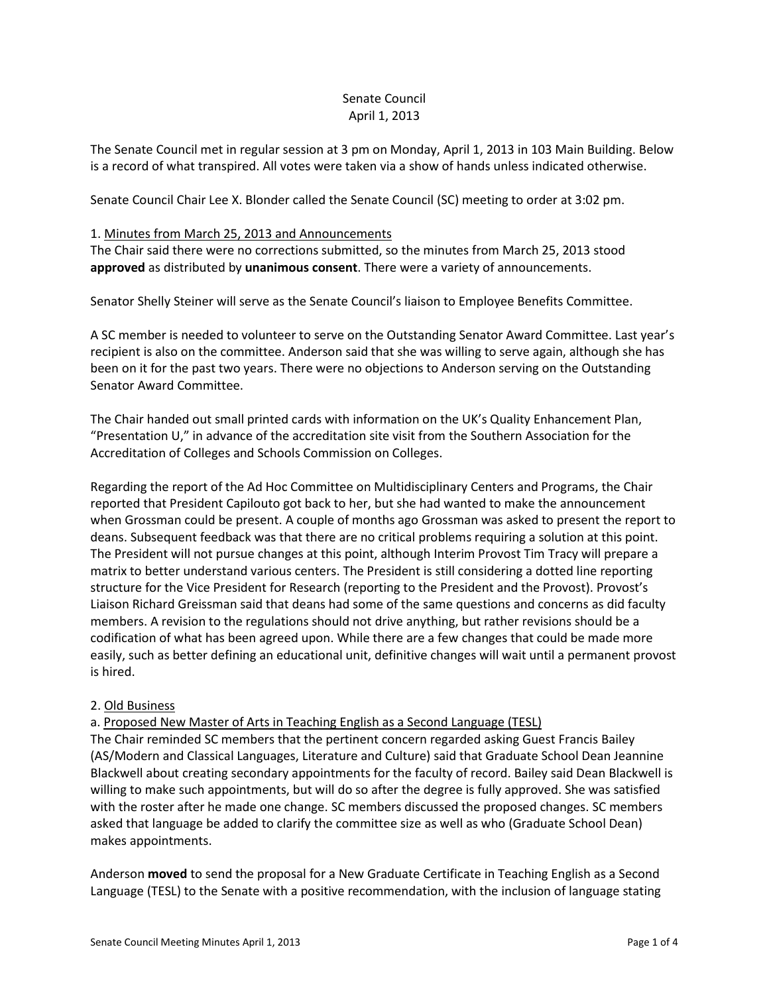# Senate Council April 1, 2013

The Senate Council met in regular session at 3 pm on Monday, April 1, 2013 in 103 Main Building. Below is a record of what transpired. All votes were taken via a show of hands unless indicated otherwise.

Senate Council Chair Lee X. Blonder called the Senate Council (SC) meeting to order at 3:02 pm.

#### 1. Minutes from March 25, 2013 and Announcements

The Chair said there were no corrections submitted, so the minutes from March 25, 2013 stood **approved** as distributed by **unanimous consent**. There were a variety of announcements.

Senator Shelly Steiner will serve as the Senate Council's liaison to Employee Benefits Committee.

A SC member is needed to volunteer to serve on the Outstanding Senator Award Committee. Last year's recipient is also on the committee. Anderson said that she was willing to serve again, although she has been on it for the past two years. There were no objections to Anderson serving on the Outstanding Senator Award Committee.

The Chair handed out small printed cards with information on the UK's Quality Enhancement Plan, "Presentation U," in advance of the accreditation site visit from the Southern Association for the Accreditation of Colleges and Schools Commission on Colleges.

Regarding the report of the Ad Hoc Committee on Multidisciplinary Centers and Programs, the Chair reported that President Capilouto got back to her, but she had wanted to make the announcement when Grossman could be present. A couple of months ago Grossman was asked to present the report to deans. Subsequent feedback was that there are no critical problems requiring a solution at this point. The President will not pursue changes at this point, although Interim Provost Tim Tracy will prepare a matrix to better understand various centers. The President is still considering a dotted line reporting structure for the Vice President for Research (reporting to the President and the Provost). Provost's Liaison Richard Greissman said that deans had some of the same questions and concerns as did faculty members. A revision to the regulations should not drive anything, but rather revisions should be a codification of what has been agreed upon. While there are a few changes that could be made more easily, such as better defining an educational unit, definitive changes will wait until a permanent provost is hired.

## 2. Old Business

a. Proposed New Master of Arts in Teaching English as a Second Language (TESL)

The Chair reminded SC members that the pertinent concern regarded asking Guest Francis Bailey (AS/Modern and Classical Languages, Literature and Culture) said that Graduate School Dean Jeannine Blackwell about creating secondary appointments for the faculty of record. Bailey said Dean Blackwell is willing to make such appointments, but will do so after the degree is fully approved. She was satisfied with the roster after he made one change. SC members discussed the proposed changes. SC members asked that language be added to clarify the committee size as well as who (Graduate School Dean) makes appointments.

Anderson **moved** to send the proposal for a New Graduate Certificate in Teaching English as a Second Language (TESL) to the Senate with a positive recommendation, with the inclusion of language stating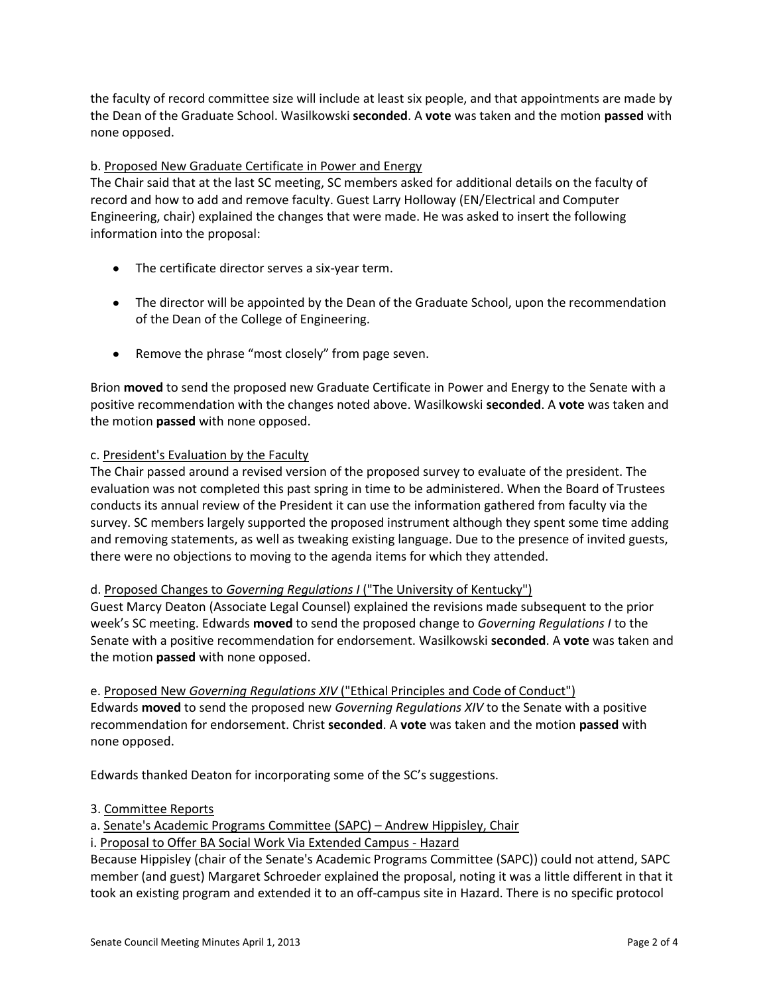the faculty of record committee size will include at least six people, and that appointments are made by the Dean of the Graduate School. Wasilkowski **seconded**. A **vote** was taken and the motion **passed** with none opposed.

## b. Proposed New Graduate Certificate in Power and Energy

The Chair said that at the last SC meeting, SC members asked for additional details on the faculty of record and how to add and remove faculty. Guest Larry Holloway (EN/Electrical and Computer Engineering, chair) explained the changes that were made. He was asked to insert the following information into the proposal:

- The certificate director serves a six-year term.
- The director will be appointed by the Dean of the Graduate School, upon the recommendation of the Dean of the College of Engineering.
- Remove the phrase "most closely" from page seven.

Brion **moved** to send the proposed new Graduate Certificate in Power and Energy to the Senate with a positive recommendation with the changes noted above. Wasilkowski **seconded**. A **vote** was taken and the motion **passed** with none opposed.

#### c. President's Evaluation by the Faculty

The Chair passed around a revised version of the proposed survey to evaluate of the president. The evaluation was not completed this past spring in time to be administered. When the Board of Trustees conducts its annual review of the President it can use the information gathered from faculty via the survey. SC members largely supported the proposed instrument although they spent some time adding and removing statements, as well as tweaking existing language. Due to the presence of invited guests, there were no objections to moving to the agenda items for which they attended.

## d. Proposed Changes to *Governing Regulations I* ("The University of Kentucky")

Guest Marcy Deaton (Associate Legal Counsel) explained the revisions made subsequent to the prior week's SC meeting. Edwards **moved** to send the proposed change to *Governing Regulations I* to the Senate with a positive recommendation for endorsement. Wasilkowski **seconded**. A **vote** was taken and the motion **passed** with none opposed.

e. Proposed New *Governing Regulations XIV* ("Ethical Principles and Code of Conduct") Edwards **moved** to send the proposed new *Governing Regulations XIV* to the Senate with a positive recommendation for endorsement. Christ **seconded**. A **vote** was taken and the motion **passed** with none opposed.

Edwards thanked Deaton for incorporating some of the SC's suggestions.

#### 3. Committee Reports

a. Senate's Academic Programs Committee (SAPC) – Andrew Hippisley, Chair

i. Proposal to Offer BA Social Work Via Extended Campus - Hazard

Because Hippisley (chair of the Senate's Academic Programs Committee (SAPC)) could not attend, SAPC member (and guest) Margaret Schroeder explained the proposal, noting it was a little different in that it took an existing program and extended it to an off-campus site in Hazard. There is no specific protocol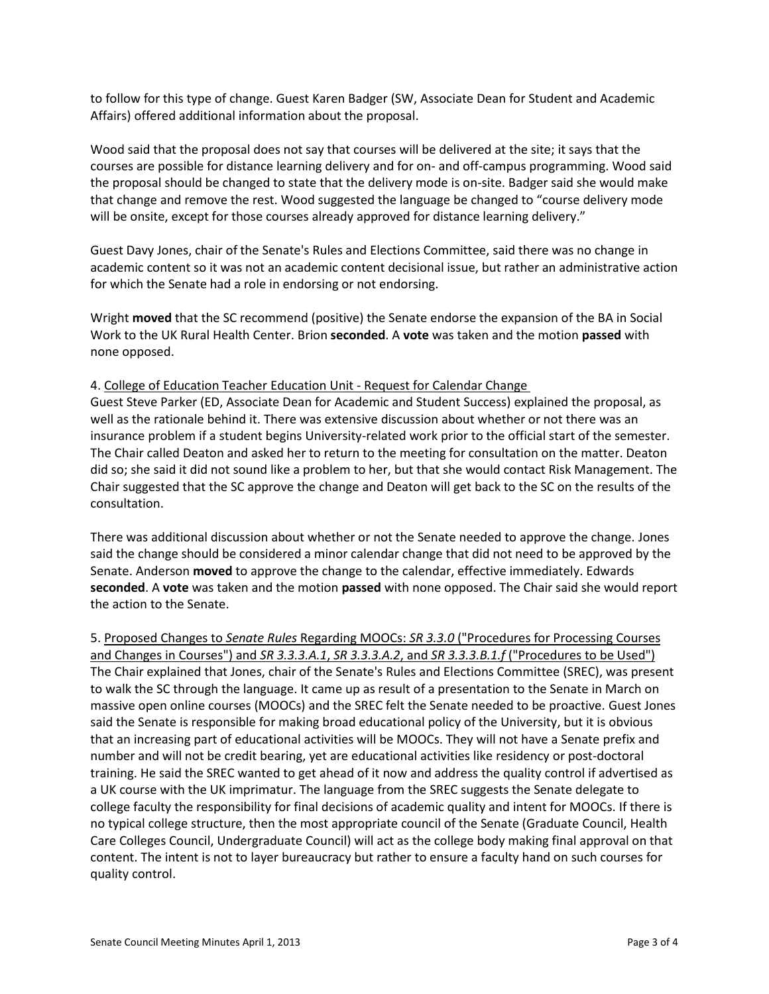to follow for this type of change. Guest Karen Badger (SW, Associate Dean for Student and Academic Affairs) offered additional information about the proposal.

Wood said that the proposal does not say that courses will be delivered at the site; it says that the courses are possible for distance learning delivery and for on- and off-campus programming. Wood said the proposal should be changed to state that the delivery mode is on-site. Badger said she would make that change and remove the rest. Wood suggested the language be changed to "course delivery mode will be onsite, except for those courses already approved for distance learning delivery."

Guest Davy Jones, chair of the Senate's Rules and Elections Committee, said there was no change in academic content so it was not an academic content decisional issue, but rather an administrative action for which the Senate had a role in endorsing or not endorsing.

Wright **moved** that the SC recommend (positive) the Senate endorse the expansion of the BA in Social Work to the UK Rural Health Center. Brion **seconded**. A **vote** was taken and the motion **passed** with none opposed.

#### 4. College of Education Teacher Education Unit - Request for Calendar Change

Guest Steve Parker (ED, Associate Dean for Academic and Student Success) explained the proposal, as well as the rationale behind it. There was extensive discussion about whether or not there was an insurance problem if a student begins University-related work prior to the official start of the semester. The Chair called Deaton and asked her to return to the meeting for consultation on the matter. Deaton did so; she said it did not sound like a problem to her, but that she would contact Risk Management. The Chair suggested that the SC approve the change and Deaton will get back to the SC on the results of the consultation.

There was additional discussion about whether or not the Senate needed to approve the change. Jones said the change should be considered a minor calendar change that did not need to be approved by the Senate. Anderson **moved** to approve the change to the calendar, effective immediately. Edwards **seconded**. A **vote** was taken and the motion **passed** with none opposed. The Chair said she would report the action to the Senate.

5. Proposed Changes to *Senate Rules* Regarding MOOCs: *SR 3.3.0* ("Procedures for Processing Courses and Changes in Courses") and *SR 3.3.3.A.1*, *SR 3.3.3.A.2*, and *SR 3.3.3.B.1.f* ("Procedures to be Used") The Chair explained that Jones, chair of the Senate's Rules and Elections Committee (SREC), was present to walk the SC through the language. It came up as result of a presentation to the Senate in March on massive open online courses (MOOCs) and the SREC felt the Senate needed to be proactive. Guest Jones said the Senate is responsible for making broad educational policy of the University, but it is obvious that an increasing part of educational activities will be MOOCs. They will not have a Senate prefix and number and will not be credit bearing, yet are educational activities like residency or post-doctoral training. He said the SREC wanted to get ahead of it now and address the quality control if advertised as a UK course with the UK imprimatur. The language from the SREC suggests the Senate delegate to college faculty the responsibility for final decisions of academic quality and intent for MOOCs. If there is no typical college structure, then the most appropriate council of the Senate (Graduate Council, Health Care Colleges Council, Undergraduate Council) will act as the college body making final approval on that content. The intent is not to layer bureaucracy but rather to ensure a faculty hand on such courses for quality control.